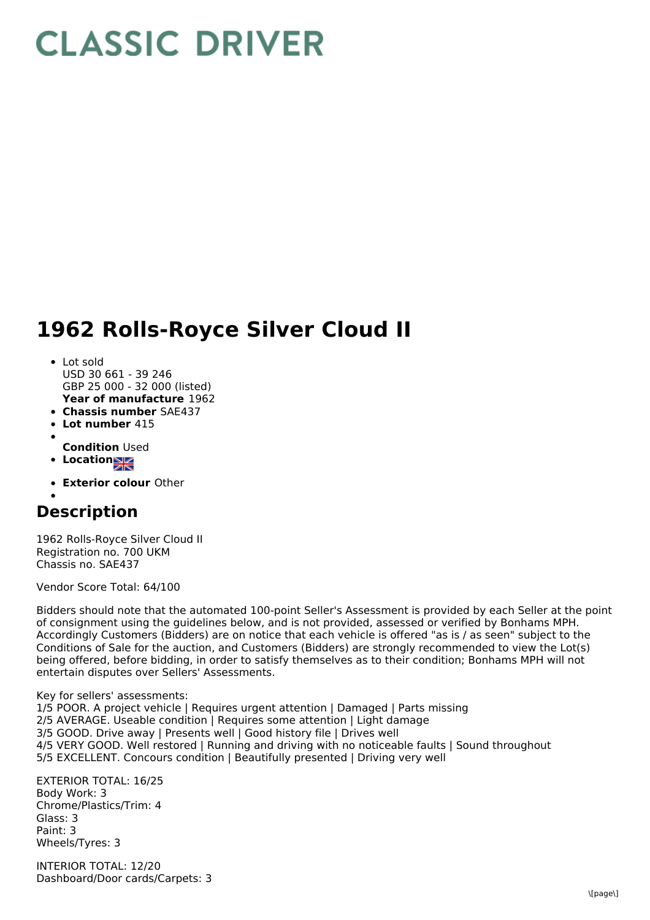## **CLASSIC DRIVER**

## **1962 Rolls-Royce Silver Cloud II**

- **Year of manufacture** 1962 • Lot sold USD 30 661 - 39 246 GBP 25 000 - 32 000 (listed)
- **Chassis number** SAE437
- **Lot number** 415  $\bullet$
- 
- **Condition** Used
- **Location**
- **Exterior colour** Other

## **Description**

1962 Rolls-Royce Silver Cloud II Registration no. 700 UKM Chassis no. SAE437

Vendor Score Total: 64/100

Bidders should note that the automated 100-point Seller's Assessment is provided by each Seller at the point of consignment using the guidelines below, and is not provided, assessed or verified by Bonhams MPH. Accordingly Customers (Bidders) are on notice that each vehicle is offered "as is / as seen" subject to the Conditions of Sale for the auction, and Customers (Bidders) are strongly recommended to view the Lot(s) being offered, before bidding, in order to satisfy themselves as to their condition; Bonhams MPH will not entertain disputes over Sellers' Assessments.

Key for sellers' assessments:

1/5 POOR. A project vehicle | Requires urgent attention | Damaged | Parts missing 2/5 AVERAGE. Useable condition | Requires some attention | Light damage 3/5 GOOD. Drive away | Presents well | Good history file | Drives well 4/5 VERY GOOD. Well restored | Running and driving with no noticeable faults | Sound throughout 5/5 EXCELLENT. Concours condition | Beautifully presented | Driving very well

EXTERIOR TOTAL: 16/25 Body Work: 3 Chrome/Plastics/Trim: 4 Glass: 3 Paint: 3 Wheels/Tyres: 3

INTERIOR TOTAL: 12/20 Dashboard/Door cards/Carpets: 3